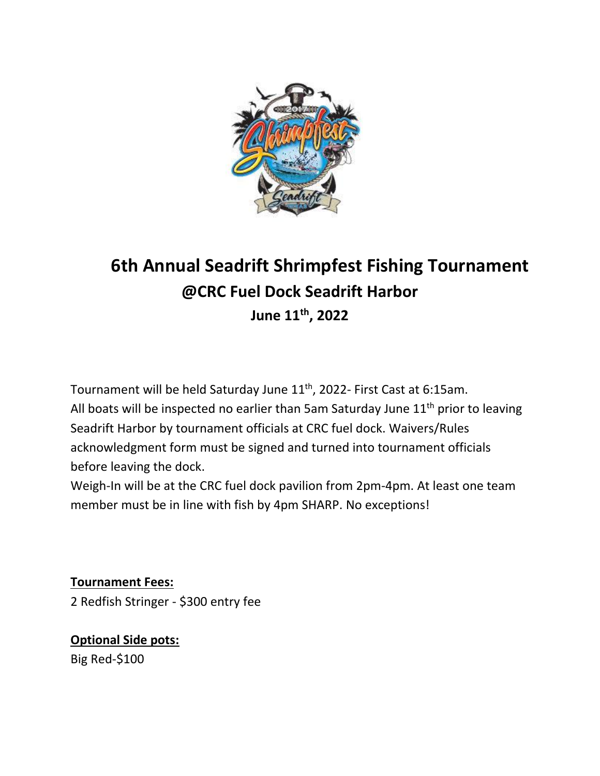

## **6th Annual Seadrift Shrimpfest Fishing Tournament @CRC Fuel Dock Seadrift Harbor June 11th, 2022**

Tournament will be held Saturday June 11<sup>th</sup>, 2022- First Cast at 6:15am. All boats will be inspected no earlier than 5am Saturday June  $11<sup>th</sup>$  prior to leaving Seadrift Harbor by tournament officials at CRC fuel dock. Waivers/Rules acknowledgment form must be signed and turned into tournament officials before leaving the dock.

Weigh-In will be at the CRC fuel dock pavilion from 2pm-4pm. At least one team member must be in line with fish by 4pm SHARP. No exceptions!

**Tournament Fees:** 2 Redfish Stringer - \$300 entry fee

**Optional Side pots:** Big Red-\$100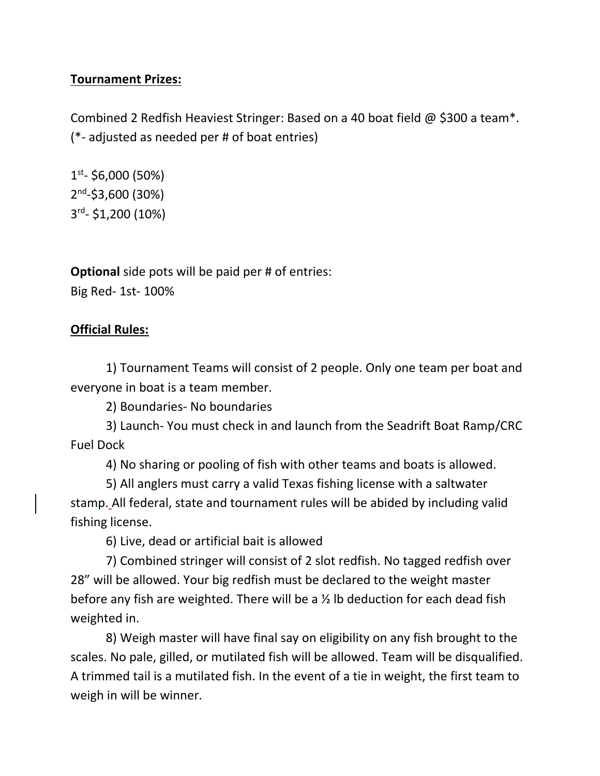## **Tournament Prizes:**

Combined 2 Redfish Heaviest Stringer: Based on a 40 boat field @ \$300 a team\*. (\*- adjusted as needed per # of boat entries)

1 st - \$6,000 (50%) 2<sup>nd</sup>-\$3,600 (30%) 3 rd - \$1,200 (10%)

**Optional** side pots will be paid per # of entries: Big Red- 1st- 100%

## **Official Rules:**

1) Tournament Teams will consist of 2 people. Only one team per boat and everyone in boat is a team member.

2) Boundaries- No boundaries

3) Launch- You must check in and launch from the Seadrift Boat Ramp/CRC Fuel Dock

4) No sharing or pooling of fish with other teams and boats is allowed.

5) All anglers must carry a valid Texas fishing license with a saltwater stamp. All federal, state and tournament rules will be abided by including valid fishing license.

6) Live, dead or artificial bait is allowed

7) Combined stringer will consist of 2 slot redfish. No tagged redfish over 28" will be allowed. Your big redfish must be declared to the weight master before any fish are weighted. There will be a ½ lb deduction for each dead fish weighted in.

8) Weigh master will have final say on eligibility on any fish brought to the scales. No pale, gilled, or mutilated fish will be allowed. Team will be disqualified. A trimmed tail is a mutilated fish. In the event of a tie in weight, the first team to weigh in will be winner.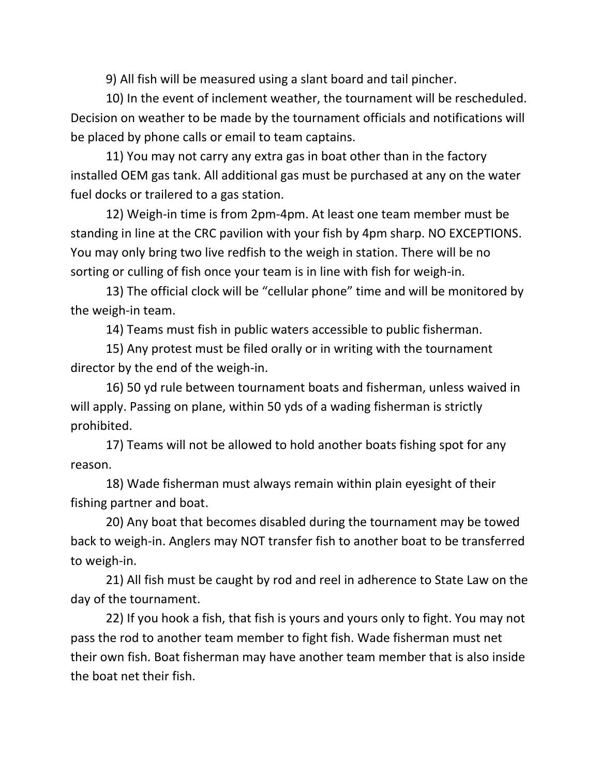9) All fish will be measured using a slant board and tail pincher.

10) In the event of inclement weather, the tournament will be rescheduled. Decision on weather to be made by the tournament officials and notifications will be placed by phone calls or email to team captains.

11) You may not carry any extra gas in boat other than in the factory installed OEM gas tank. All additional gas must be purchased at any on the water fuel docks or trailered to a gas station.

12) Weigh-in time is from 2pm-4pm. At least one team member must be standing in line at the CRC pavilion with your fish by 4pm sharp. NO EXCEPTIONS. You may only bring two live redfish to the weigh in station. There will be no sorting or culling of fish once your team is in line with fish for weigh-in.

13) The official clock will be "cellular phone" time and will be monitored by the weigh-in team.

14) Teams must fish in public waters accessible to public fisherman.

15) Any protest must be filed orally or in writing with the tournament director by the end of the weigh-in.

16) 50 yd rule between tournament boats and fisherman, unless waived in will apply. Passing on plane, within 50 yds of a wading fisherman is strictly prohibited.

17) Teams will not be allowed to hold another boats fishing spot for any reason.

18) Wade fisherman must always remain within plain eyesight of their fishing partner and boat.

20) Any boat that becomes disabled during the tournament may be towed back to weigh-in. Anglers may NOT transfer fish to another boat to be transferred to weigh-in.

21) All fish must be caught by rod and reel in adherence to State Law on the day of the tournament.

22) If you hook a fish, that fish is yours and yours only to fight. You may not pass the rod to another team member to fight fish. Wade fisherman must net their own fish. Boat fisherman may have another team member that is also inside the boat net their fish.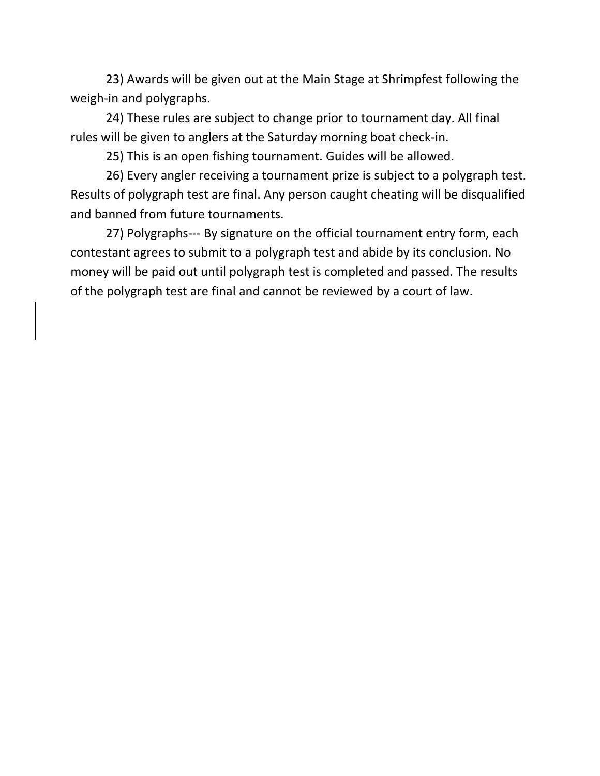23) Awards will be given out at the Main Stage at Shrimpfest following the weigh-in and polygraphs.

24) These rules are subject to change prior to tournament day. All final rules will be given to anglers at the Saturday morning boat check-in.

25) This is an open fishing tournament. Guides will be allowed.

26) Every angler receiving a tournament prize is subject to a polygraph test. Results of polygraph test are final. Any person caught cheating will be disqualified and banned from future tournaments.

27) Polygraphs--- By signature on the official tournament entry form, each contestant agrees to submit to a polygraph test and abide by its conclusion. No money will be paid out until polygraph test is completed and passed. The results of the polygraph test are final and cannot be reviewed by a court of law.